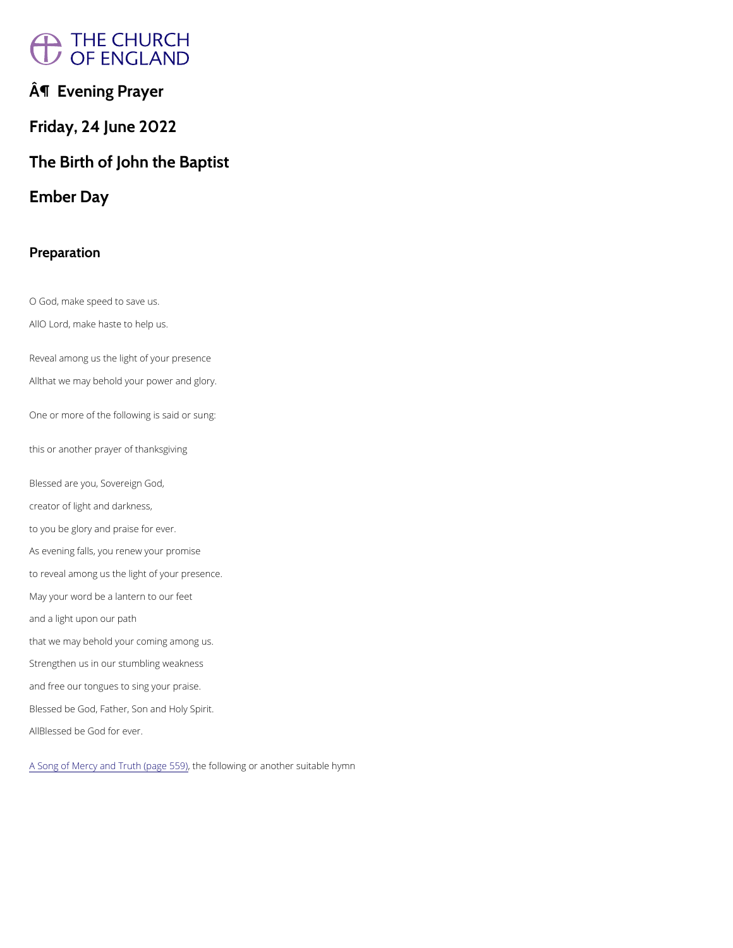# A THE CHURCH<br>/ OF ENGLAND

 $\hat{A}$ ¶ Evening Prayer

Friday, 24 June 2022

O God, make speed to save us. AO Lord, make haste to help us.

The Birth of John the Baptist

Ember Day

Reveal among us the light of your presence Athat we may behold your power and glory.

Preparation

One or more of the following is said or sung:

this or another prayer of thanksgiving

Blessed are you, Sovereign God, creator of light and darkness, to you be glory and praise for ever. As evening falls, you renew your promise to reveal among us the light of your presence. May your word be a lantern to our feet and a light upon our path that we may behold your coming among us. Strengthen us in our stumbling weakness and free our tongues to sing your praise.

Blessed be God, Father, Son and Holy Spirit.

ABlessed be God for ever.

[A Song of Mercy and Tr](https://cwdp.oremus.org/../canticles/psalmcanticles/9.html)uthh (epfacoleo 509) or another suitable hymn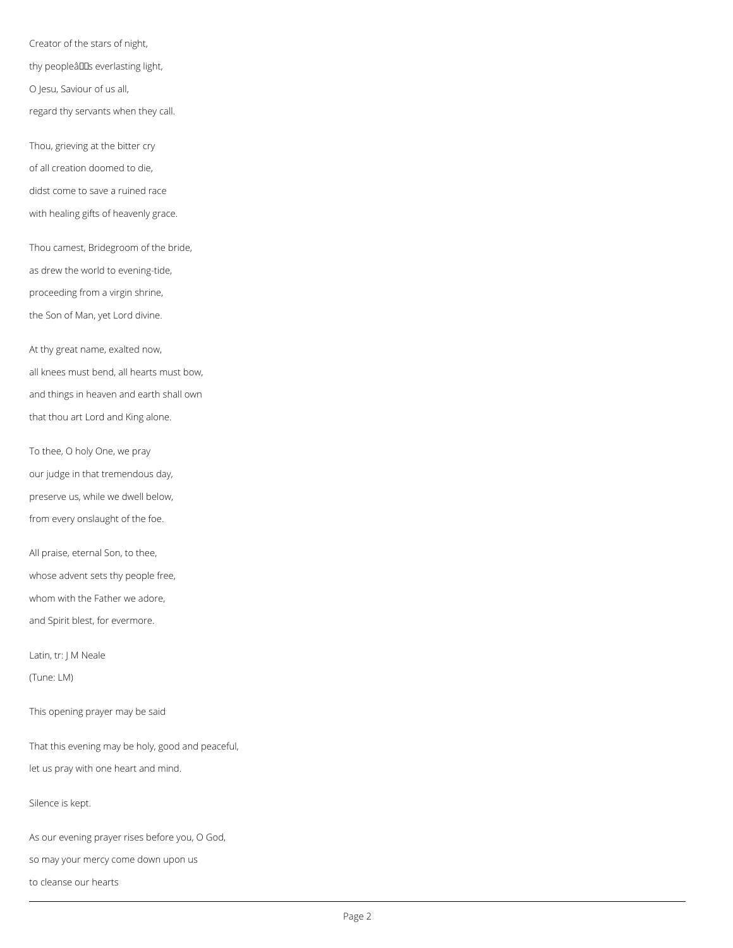Creator of the stars of night, thy peopleâuus everlasting light, O Jesu, Saviour of us all, regard thy servants when they call.

Thou, grieving at the bitter cry of all creation doomed to die, didst come to save a ruined race with healing gifts of heavenly grace.

Thou camest, Bridegroom of the bride, as drew the world to evening-tide, proceeding from a virgin shrine, the Son of Man, yet Lord divine.

At thy great name, exalted now, all knees must bend, all hearts must bow, and things in heaven and earth shall own that thou art Lord and King alone.

To thee, O holy One, we pray our judge in that tremendous day, preserve us, while we dwell below, from every onslaught of the foe.

All praise, eternal Son, to thee, whose advent sets thy people free, whom with the Father we adore, and Spirit blest, for evermore.

Latin, tr: J M Neale

(Tune: LM)

This opening prayer may be said

That this evening may be holy, good and peaceful,

let us pray with one heart and mind.

Silence is kept.

As our evening prayer rises before you, O God,

so may your mercy come down upon us

to cleanse our hearts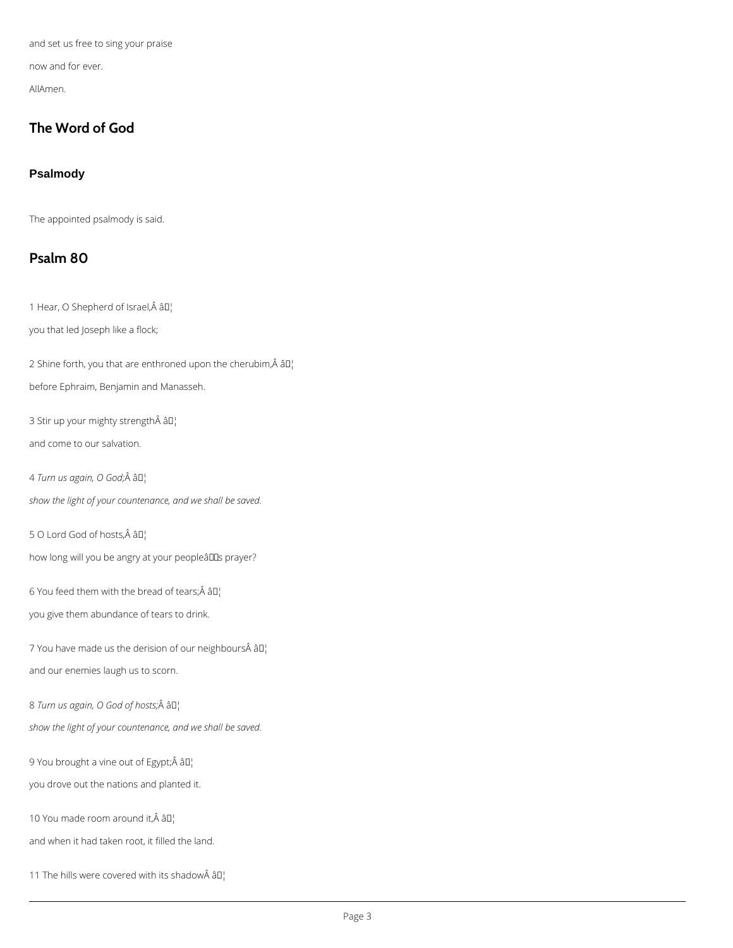and set us free to sing your praise

now and for ever.

AllAmen.

# **The Word of God**

## **Psalmody**

The appointed psalmody is said.

# **Psalm 80**

1 Hear, O Shepherd of Israel, Â â D¦

you that led Joseph like a flock;

2 Shine forth, you that are enthroned upon the cherubim, $\hat{A}$  â $I$ <sup>1</sup>

before Ephraim, Benjamin and Manasseh.

3 Stir up your mighty strength âD¦

and come to our salvation.

4 Turn us again, O God;Â â D<sub>i</sub>

7 You have made us the derision of our neighbours $\hat{A}$  â $II_1$ and our enemies laugh us to scorn.

8 Turn us again, O God of hosts; Â âl

*show the light of your countenance, and we shall be saved.*

5 O Lord God of hosts, Â â D¦

how long will you be angry at your peopleâlls prayer?

6 You feed them with the bread of tears; $\hat{A}$   $\hat{a}$  $\Gamma$ <sub>1</sub>

you give them abundance of tears to drink.

*show the light of your countenance, and we shall be saved.*

9 You brought a vine out of Egypt; Â â D¦

you drove out the nations and planted it.

10 You made room around it,  $\hat{A}$   $\hat{a}$  $I$ <sup>1</sup>

and when it had taken root, it filled the land.

11 The hills were covered with its shadow $\hat{A}$   $\hat{a}$  $I$ <sup>1</sup>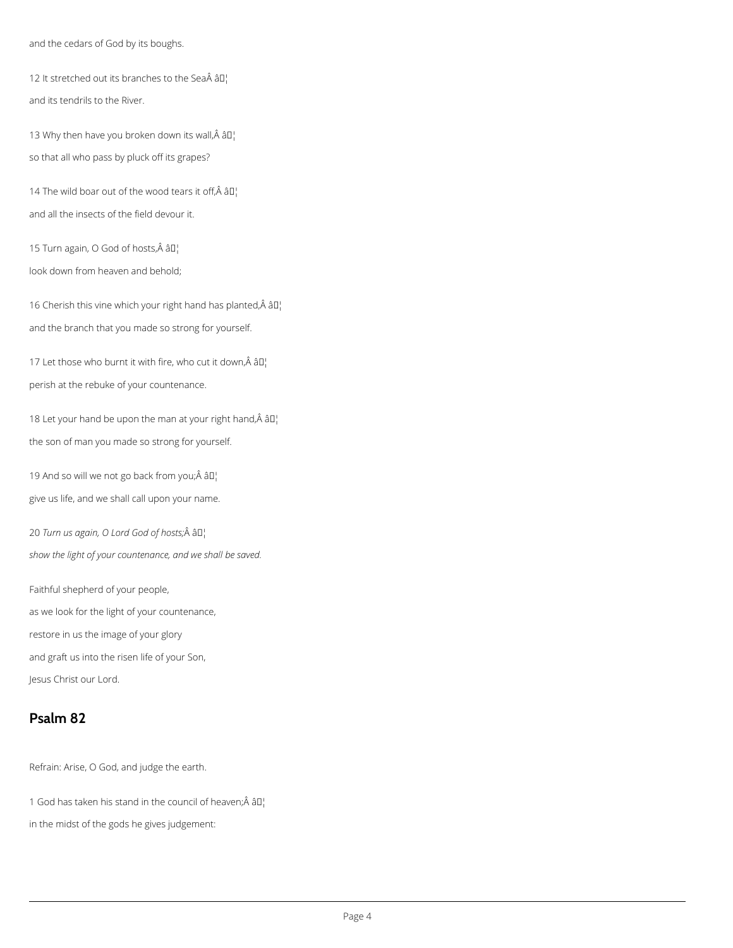and the cedars of God by its boughs.

12 It stretched out its branches to the Sea $\hat{A}$  â $\Box$ and its tendrils to the River.

13 Why then have you broken down its wall, $\hat{A}$  â $\mathbb{I}^1$ so that all who pass by pluck off its grapes?

14 The wild boar out of the wood tears it off, $\hat{A}$  â $\Box$ and all the insects of the field devour it.

15 Turn again, O God of hosts,  $\hat{A}$  â $\Box$ 

16 Cherish this vine which your right hand has planted, $\hat{A}$  â $\Box$ and the branch that you made so strong for yourself.

17 Let those who burnt it with fire, who cut it down, $\hat{A}$  â $\Box$ perish at the rebuke of your countenance.

18 Let your hand be upon the man at your right hand, $\hat{A}$   $\hat{a}$  $\Gamma$ ! the son of man you made so strong for yourself.

look down from heaven and behold;

19 And so will we not go back from you; $\hat{A}$  â $I$ ] give us life, and we shall call upon your name.

20 Turn us again, O Lord God of hosts; Â â $\mathbb{I}^1$ *show the light of your countenance, and we shall be saved.*

Faithful shepherd of your people, as we look for the light of your countenance, restore in us the image of your glory and graft us into the risen life of your Son, Jesus Christ our Lord.

# **Psalm 82**

Refrain: Arise, O God, and judge the earth.

1 God has taken his stand in the council of heaven; $\hat{A}$  â $\Box$ 

in the midst of the gods he gives judgement: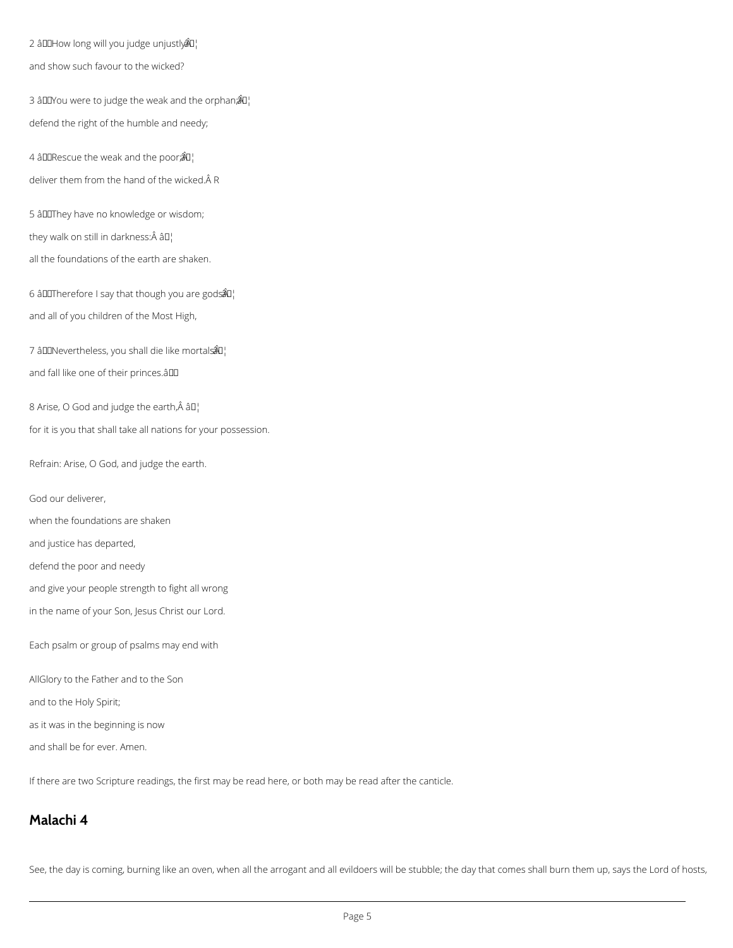2 â $ID$ How long will you judge unjustly $\partial I$ and show such favour to the wicked?

3 âDDYou were to judge the weak and the orphan $\hat{a}$   $\hat{a}$ <sup>1</sup> defend the right of the humble and needy;

4 âDD Rescue the weak and the poor; $\hat{\mathcal{B}}$   $\Box$ deliver them from the hand of the wicked. A R

5 âDIThey have no knowledge or wisdom;

they walk on still in darkness: $\hat{A}$  â $I$ ]

6 â $I$ III herefore I say that though you are gods $\partial I$ and all of you children of the Most High,

7 â $IDN$ evertheless, you shall die like mortals $\mathbb{\hat{A}}\mathbb{U}$ and fall like one of their princes.âDD

8 Arise, O God and judge the earth, $\hat{A}$  â $\Box$ 

all the foundations of the earth are shaken.

for it is you that shall take all nations for your possession.

Refrain: Arise, O God, and judge the earth.

God our deliverer,

when the foundations are shaken

and justice has departed,

defend the poor and needy

and give your people strength to fight all wrong

in the name of your Son, Jesus Christ our Lord.

Each psalm or group of psalms may end with

AllGlory to the Father and to the Son

and to the Holy Spirit;

as it was in the beginning is now

and shall be for ever. Amen.

If there are two Scripture readings, the first may be read here, or both may be read after the canticle.

## **Malachi 4**

See, the day is coming, burning like an oven, when all the arrogant and all evildoers will be stubble; the day that comes shall burn them up, says the Lord of hosts,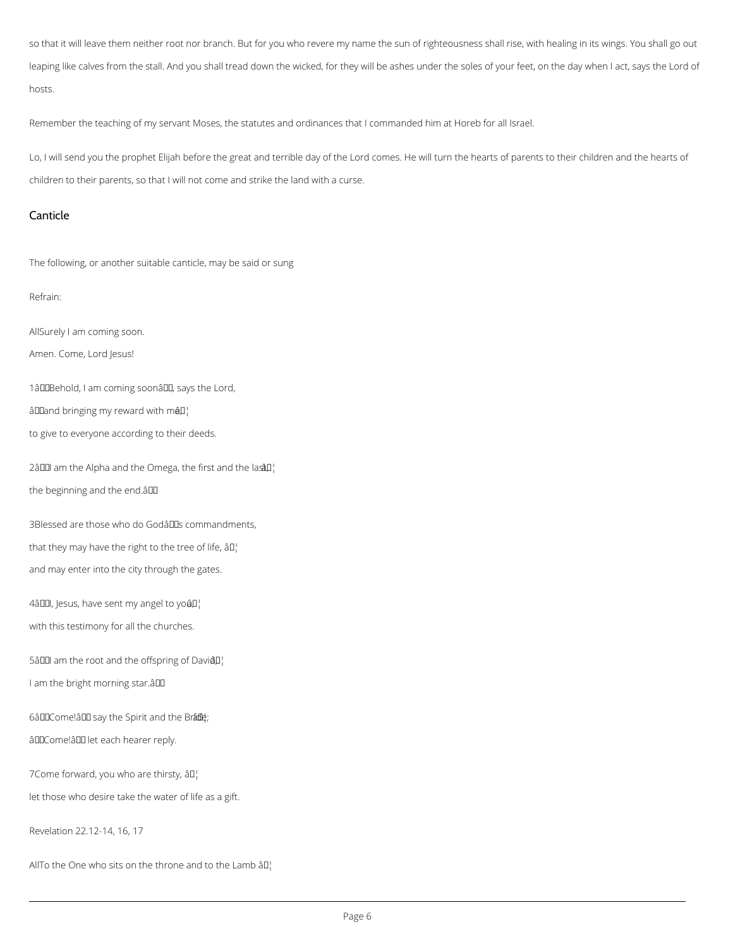so that it will leave them neither root nor branch. But for you who revere my name the sun of righteousness shall rise, with healing in its wings. You shall go out leaping like calves from the stall. And you shall tread down the wicked, for they will be ashes under the soles of your feet, on the day when I act, says the Lord of hosts.

Remember the teaching of my servant Moses, the statutes and ordinances that I commanded him at Horeb for all Israel.

Lo, I will send you the prophet Elijah before the great and terrible day of the Lord comes. He will turn the hearts of parents to their children and the hearts of children to their parents, so that I will not come and strike the land with a curse.

## Canticle

The following, or another suitable canticle, may be said or sung

## Refrain:

AllSurely I am coming soon.

Amen. Come, Lord Jesus!

1âDDBehold, I am coming soonâDD, says the Lord,

 $\hat{a}$ IIand bringing my reward with mâ $\hat{a}$ ]

to give to everyone according to their deeds.

2â $\Box$  am the Alpha and the Omega, the first and the last $\Box$ the beginning and the end. $\hat{a}$ 

3Blessed are those who do Godâllas commandments, that they may have the right to the tree of life,  $\partial \mathbb{I}^1$ 

and may enter into the city through the gates.

4â $\Box$ , Jesus, have sent my angel to yo â $\Box$ 

with this testimony for all the churches.

5â $\Box$  am the root and the offspring of Davi $\Box$ 

I am the bright morning star.  $\hat{a}$ 

6âDDCome!âDD say the Spirit and the Brâdle;

âDDCome!âDD let each hearer reply.

7Come forward, you who are thirsty, âD!

let those who desire take the water of life as a gift.

Revelation 22.12-14, 16, 17

AllTo the One who sits on the throne and to the Lamb  $\partial \Pi$ .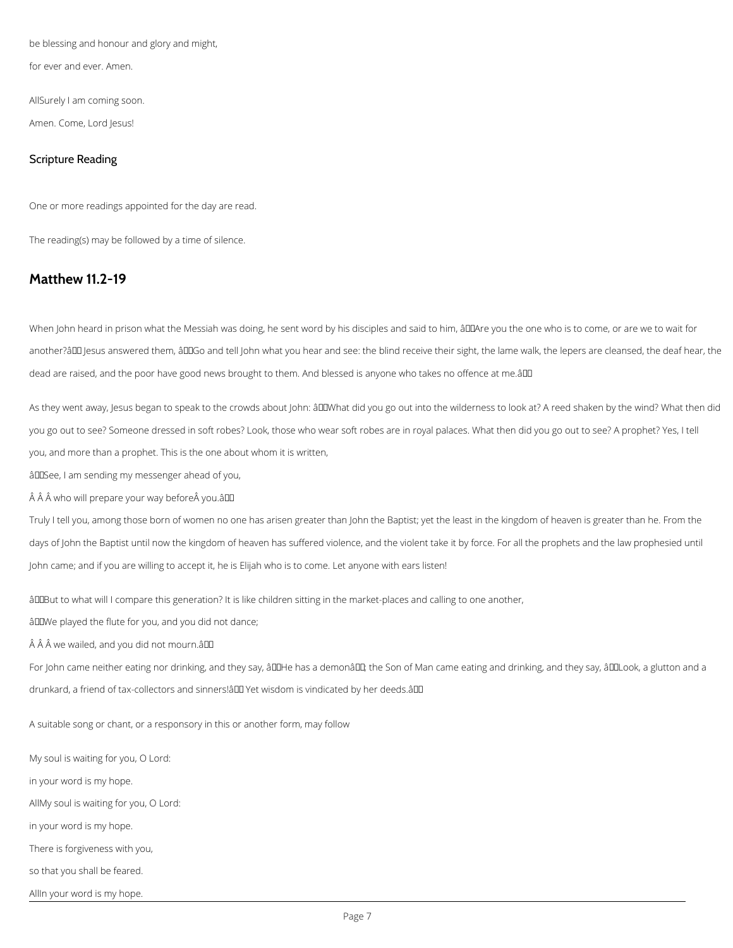be blessing and honour and glory and might,

for ever and ever. Amen.

AllSurely I am coming soon.

Amen. Come, Lord Jesus!

## Scripture Reading

One or more readings appointed for the day are read.

The reading(s) may be followed by a time of silence.

## **Matthew 11.2-19**

When John heard in prison what the Messiah was doing, he sent word by his disciples and said to him, âQQAre you the one who is to come, or are we to wait for another?ând Jesus answered them, ând and tell John what you hear and see: the blind receive their sight, the lame walk, the lepers are cleansed, the deaf hear, the dead are raised, and the poor have good news brought to them. And blessed is anyone who takes no offence at me.âll

As they went away, Jesus began to speak to the crowds about John: âDDWhat did you go out into the wilderness to look at? A reed shaken by the wind? What then did you go out to see? Someone dressed in soft robes? Look, those who wear soft robes are in royal palaces. What then did you go out to see? A prophet? Yes, I tell you, and more than a prophet. This is the one about whom it is written,

âDDSee, I am sending my messenger ahead of you,

 $\hat{A}$   $\hat{A}$  who will prepare your way before  $\hat{A}$  you. $\hat{a}$  $\Pi$ 

Truly I tell you, among those born of women no one has arisen greater than John the Baptist; yet the least in the kingdom of heaven is greater than he. From the days of John the Baptist until now the kingdom of heaven has suffered violence, and the violent take it by force. For all the prophets and the law prophesied until John came; and if you are willing to accept it, he is Elijah who is to come. Let anyone with ears listen!

âDIBut to what will I compare this generation? It is like children sitting in the market-places and calling to one another,

âDDWe played the flute for you, and you did not dance;

 $\hat{A}$   $\hat{A}$  we wailed, and you did not mourn.âll

For John came neither eating nor drinking, and they say, âLLHe has a demonâLL; the Son of Man came eating and drinking, and they say, âLLLook, a glutton and a drunkard, a friend of tax-collectors and sinners! all Yet wisdom is vindicated by her deeds. all

A suitable song or chant, or a responsory in this or another form, may follow

My soul is waiting for you, O Lord:

in your word is my hope.

AllMy soul is waiting for you, O Lord:

in your word is my hope.

There is forgiveness with you,

so that you shall be feared.

AllIn your word is my hope.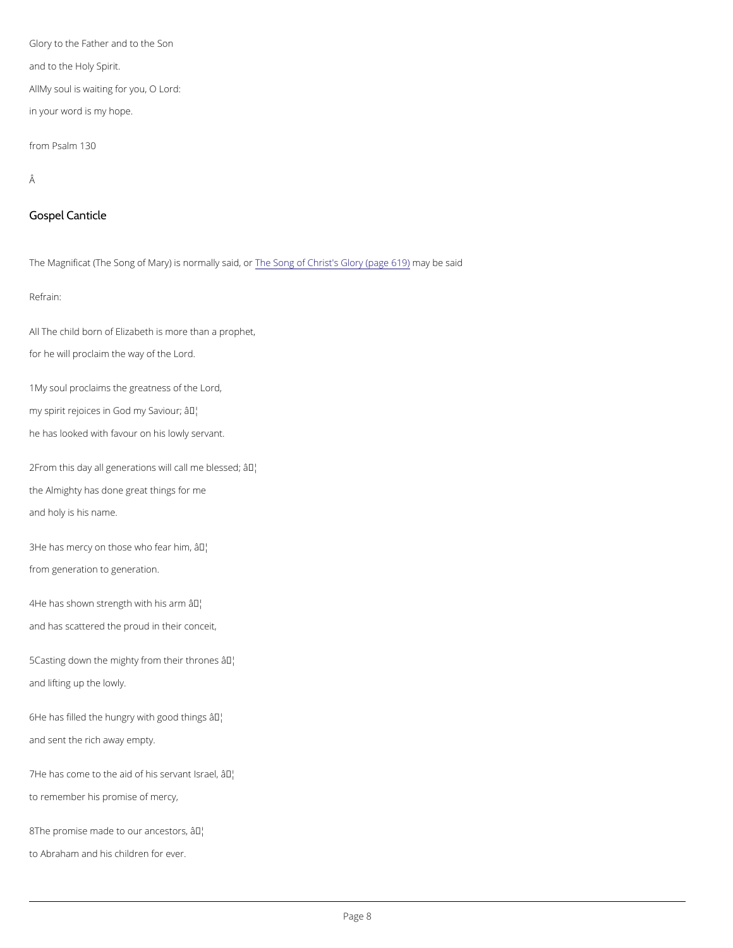Glory to the Father and to the Son and to the Holy Spirit. AMY soul is waiting for you, O Lord: in your word is my hope.

from Psalm 130

## Â

Gospel Canticle

The Magnificat (The Song of Mary) his normally obtainids, t'osr Glorm gy (phaegs a 6d 9)

All The child born of Elizabeth is more than a prophet, for he will proclaim the way of the Lord.

Refrain:

 $2F$ rom this day all generations wa $\mathbb{F}^N$  call me blessed; the Almighty has done great things for me and holy is his name.

 $3He$  has mercy on those  $w\hat{a}F\hat{b}$  fear him, from generation to generation.

 $4He$  has shown strength  $\hat{a}$ <sup>w™t</sup>th his arm and has scattered the proud in their conceit,

 $5C$  asting down the mighty fro $\hat{\mathbf{n}}^{\text{m}}$ their thrones and lifting up the lowly.

 $6H$ e has filled the hungry wat $TH$  good things

1My soul proclaims the greatness of the Lord, my spirit rejoices in Goad<sup>TM</sup>mhy Saviour; he has looked with favour on his lowly servant.

and sent the rich away empty.

 $7$ He has come to the aid of h $\hat{a}$ s<sup>TM</sup>s'ervant Israel,

to remember his promise of mercy,

 $8T$  he promise made to ou $\hat{a}^{T M}$ a'n cestors,

to Abraham and his children for ever.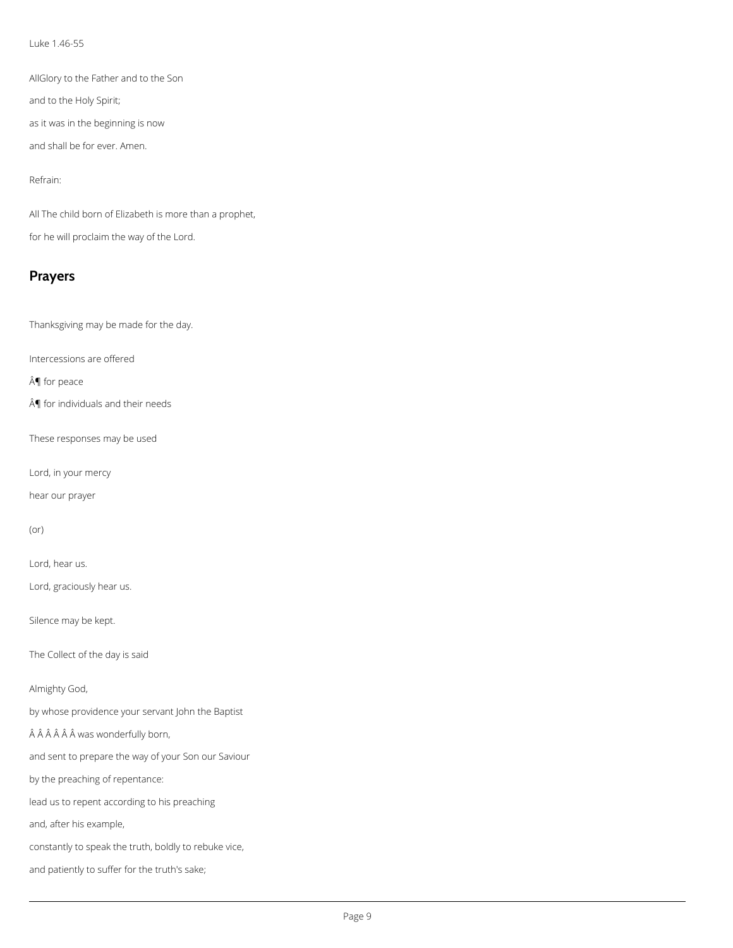#### Luke 1.46-55

AllGlory to the Father and to the Son

and to the Holy Spirit;

as it was in the beginning is now

and shall be for ever. Amen.

## Refrain:

All The child born of Elizabeth is more than a prophet, for he will proclaim the way of the Lord.

# **Prayers**

Thanksgiving may be made for the day.

Intercessions are offered

¶ for peace

 $\hat{A}$  for individuals and their needs

These responses may be used

Lord, in your mercy

hear our prayer

## (or)

Lord, hear us.

Lord, graciously hear us.

Silence may be kept.

The Collect of the day is said

Almighty God,

by whose providence your servant John the Baptist

 $\hat{A}$  $\hat{A}$  $\hat{A}$  $\hat{A}$  $\hat{A}$  $\hat{A}$  was wonderfully born,

and sent to prepare the way of your Son our Saviour

by the preaching of repentance:

lead us to repent according to his preaching

and, after his example,

constantly to speak the truth, boldly to rebuke vice,

and patiently to suffer for the truth's sake;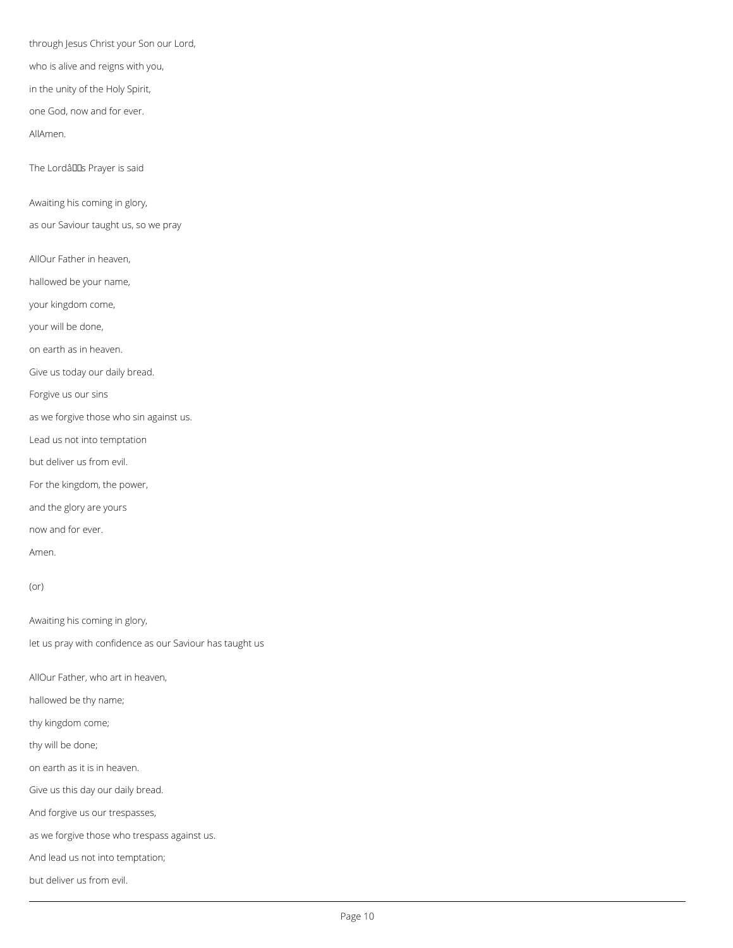through Jesus Christ your Son our Lord,

who is alive and reigns with you,

in the unity of the Holy Spirit,

one God, now and for ever.

AllAmen.

The Lordâllas Prayer is said

Awaiting his coming in glory,

as our Saviour taught us, so we pray

AllOur Father in heaven,

hallowed be your name,

your kingdom come,

your will be done,

on earth as in heaven.

Give us today our daily bread.

Forgive us our sins

as we forgive those who sin against us.

Lead us not into temptation

but deliver us from evil.

For the kingdom, the power,

and the glory are yours

now and for ever.

Amen.

(or)

Awaiting his coming in glory,

let us pray with confidence as our Saviour has taught us

AllOur Father, who art in heaven,

hallowed be thy name;

thy kingdom come;

thy will be done;

on earth as it is in heaven.

Give us this day our daily bread.

And forgive us our trespasses,

as we forgive those who trespass against us.

And lead us not into temptation;

but deliver us from evil.